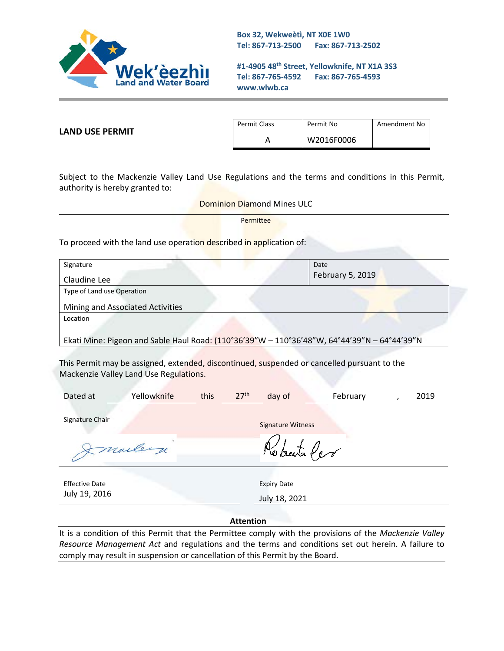

**Box 32, Wekweètì, NT X0E 1W0 Tel: 867-713-2500 Fax: 867-713-2502** 

**#1-4905 48th Street, Yellowknife, NT X1A 3S3 Tel: 867-765-4592 Fax: 867-765-4593 www.wlwb.ca**

**LAND USE PERMIT**

| Permit Class | Permit No  | Amendment No |
|--------------|------------|--------------|
|              | W2016F0006 |              |

Subject to the Mackenzie Valley Land Use Regulations and the terms and conditions in this Permit, authority is hereby granted to:

> Dominion Diamond Mines ULC Permittee

To proceed with the land use operation described in application of:

| Signature                                                                                   | Date             |  |  |  |
|---------------------------------------------------------------------------------------------|------------------|--|--|--|
| Claudine Lee                                                                                | February 5, 2019 |  |  |  |
| Type of Land use Operation                                                                  |                  |  |  |  |
| Mining and Associated Activities                                                            |                  |  |  |  |
| Location                                                                                    |                  |  |  |  |
| Ekati Mine: Pigeon and Sable Haul Road: (110°36'39"W - 110°36'48"W, 64°44'39"N - 64°44'39"N |                  |  |  |  |
|                                                                                             |                  |  |  |  |

This Permit may be assigned, extended, discontinued, suspended or cancelled pursuant to the Mackenzie Valley Land Use Regulations.

| Dated at              | Yellowknife | this | 27 <sup>th</sup> | day of                   | February | 2019 |
|-----------------------|-------------|------|------------------|--------------------------|----------|------|
| Signature Chair       |             |      |                  | <b>Signature Witness</b> |          |      |
|                       | Imaileige   |      |                  | Roberta Per              |          |      |
| <b>Effective Date</b> |             |      |                  | <b>Expiry Date</b>       |          |      |
| July 19, 2016         |             |      |                  | July 18, 2021            |          |      |
| <b>Attention</b>      |             |      |                  |                          |          |      |

It is a condition of this Permit that the Permittee comply with the provisions of the *Mackenzie Valley Resource Management Act* and regulations and the terms and conditions set out herein. A failure to comply may result in suspension or cancellation of this Permit by the Board.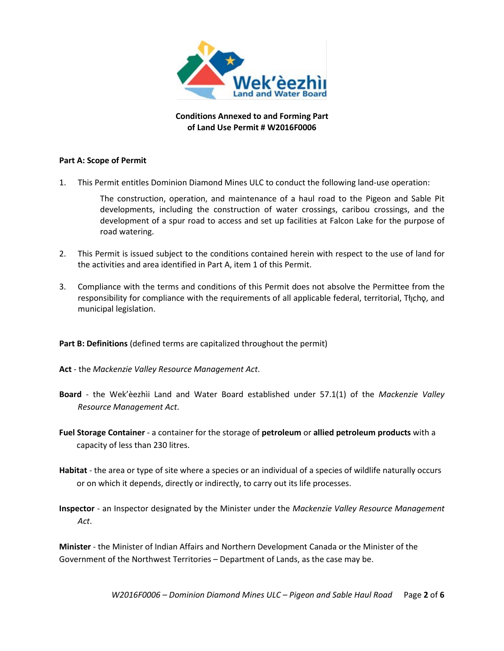

**Conditions Annexed to and Forming Part of Land Use Permit # W2016F0006**

## **Part A: Scope of Permit**

1. This Permit entitles Dominion Diamond Mines ULC to conduct the following land-use operation:

The construction, operation, and maintenance of a haul road to the Pigeon and Sable Pit developments, including the construction of water crossings, caribou crossings, and the development of a spur road to access and set up facilities at Falcon Lake for the purpose of road watering.

- 2. This Permit is issued subject to the conditions contained herein with respect to the use of land for the activities and area identified in Part A, item 1 of this Permit.
- 3. Compliance with the terms and conditions of this Permit does not absolve the Permittee from the responsibility for compliance with the requirements of all applicable federal, territorial, Tłıcho, and municipal legislation.

## **Part B: Definitions** (defined terms are capitalized throughout the permit)

- **Act** the *Mackenzie Valley Resource Management Act*.
- **Board** the Wek'èezhìi Land and Water Board established under 57.1(1) of the *Mackenzie Valley Resource Management Act*.
- **Fuel Storage Container** a container for the storage of **petroleum** or **allied petroleum products** with a capacity of less than 230 litres.
- **Habitat** the area or type of site where a species or an individual of a species of wildlife naturally occurs or on which it depends, directly or indirectly, to carry out its life processes.
- **Inspector**  an Inspector designated by the Minister under the *Mackenzie Valley Resource Management Act*.

**Minister** - the Minister of Indian Affairs and Northern Development Canada or the Minister of the Government of the Northwest Territories – Department of Lands, as the case may be.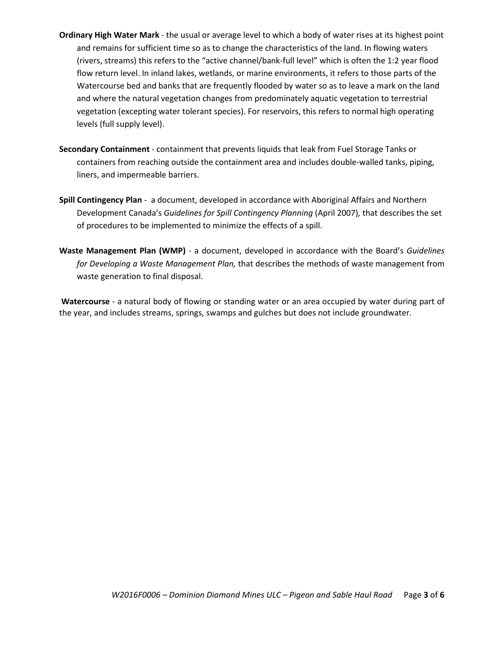- **Ordinary High Water Mark** the usual or average level to which a body of water rises at its highest point and remains for sufficient time so as to change the characteristics of the land. In flowing waters (rivers, streams) this refers to the "active channel/bank-full level" which is often the 1:2 year flood flow return level. In inland lakes, wetlands, or marine environments, it refers to those parts of the Watercourse bed and banks that are frequently flooded by water so as to leave a mark on the land and where the natural vegetation changes from predominately aquatic vegetation to terrestrial vegetation (excepting water tolerant species). For reservoirs, this refers to normal high operating levels (full supply level).
- **Secondary Containment** containment that prevents liquids that leak from Fuel Storage Tanks or containers from reaching outside the containment area and includes double-walled tanks, piping, liners, and impermeable barriers.
- **Spill Contingency Plan** a document, developed in accordance with Aboriginal Affairs and Northern Development Canada's *Guidelines for Spill Contingency Planning* (April 2007)*,* that describes the set of procedures to be implemented to minimize the effects of a spill.
- **Waste Management Plan (WMP)** a document, developed in accordance with the Board's *Guidelines for Developing a Waste Management Plan,* that describes the methods of waste management from waste generation to final disposal.

**Watercourse** - a natural body of flowing or standing water or an area occupied by water during part of the year, and includes streams, springs, swamps and gulches but does not include groundwater.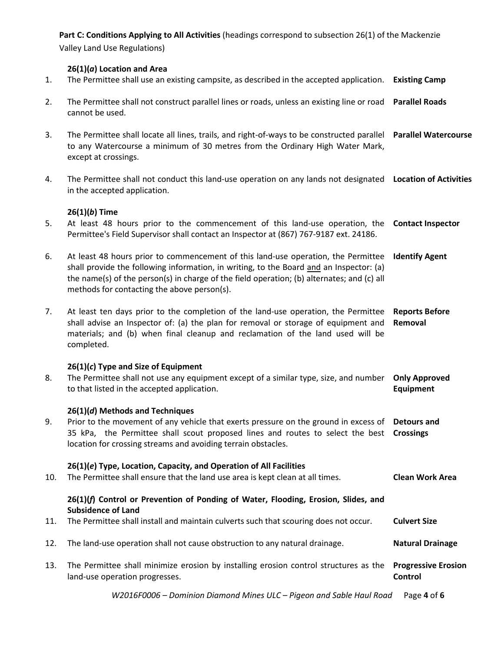**Part C: Conditions Applying to All Activities** (headings correspond to subsection 26(1) of the Mackenzie Valley Land Use Regulations) **26(1)(***a***) Location and Area** 1. The Permittee shall use an existing campsite, as described in the accepted application. **Existing Camp** 2. The Permittee shall not construct parallel lines or roads, unless an existing line or road **Parallel Roads** cannot be used. 3. The Permittee shall locate all lines, trails, and right-of-ways to be constructed parallel **Parallel Watercourse** to any Watercourse a minimum of 30 metres from the Ordinary High Water Mark, except at crossings. 4. The Permittee shall not conduct this land-use operation on any lands not designated **Location of Activities** in the accepted application. **26(1)(***b***) Time** 5. At least 48 hours prior to the commencement of this land-use operation, the **Contact Inspector** Permittee's Field Supervisor shall contact an Inspector at (867) 767-9187 ext. 24186. 6. At least 48 hours prior to commencement of this land-use operation, the Permittee **Identify Agent** shall provide the following information, in writing, to the Board and an Inspector: (a) the name(s) of the person(s) in charge of the field operation; (b) alternates; and (c) all methods for contacting the above person(s). 7. At least ten days prior to the completion of the land-use operation, the Permittee **Reports Before**  shall advise an Inspector of: (a) the plan for removal or storage of equipment and **Removal** materials; and (b) when final cleanup and reclamation of the land used will be completed. **26(1)(***c***) Type and Size of Equipment** 8. The Permittee shall not use any equipment except of a similar type, size, and number **Only Approved**  to that listed in the accepted application. **Equipment 26(1)(***d***) Methods and Techniques** 9. Prior to the movement of any vehicle that exerts pressure on the ground in excess of **Detours and**  35 kPa, the Permittee shall scout proposed lines and routes to select the best **Crossings** location for crossing streams and avoiding terrain obstacles. **26(1)(***e***) Type, Location, Capacity, and Operation of All Facilities** 10. The Permittee shall ensure that the land use area is kept clean at all times. **Clean Work Area 26(1)(***f***) Control or Prevention of Ponding of Water, Flooding, Erosion, Slides, and Subsidence of Land** 11. The Permittee shall install and maintain culverts such that scouring does not occur. **Culvert Size** 12. The land-use operation shall not cause obstruction to any natural drainage. **Natural Drainage** 13. The Permittee shall minimize erosion by installing erosion control structures as the **Progressive Erosion**  land-use operation progresses. **Control**

*W2016F0006 – Dominion Diamond Mines ULC – Pigeon and Sable Haul Road* Page **4** of **6**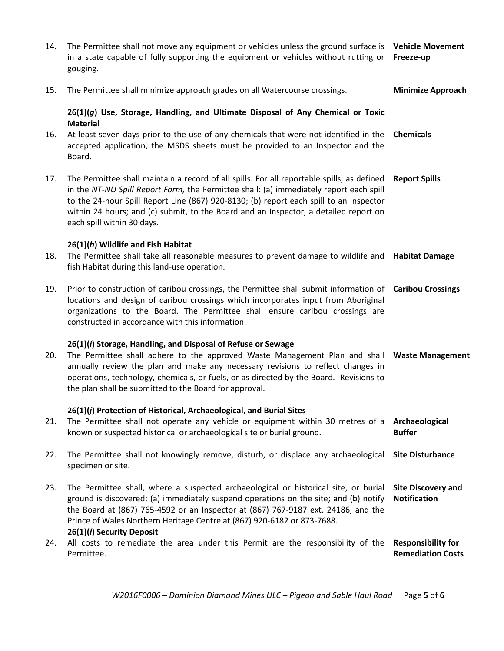| 14. | The Permittee shall not move any equipment or vehicles unless the ground surface is Vehicle Movement<br>in a state capable of fully supporting the equipment or vehicles without rutting or Freeze-up<br>gouging.                                                                                                                                                                                    |                                                       |
|-----|------------------------------------------------------------------------------------------------------------------------------------------------------------------------------------------------------------------------------------------------------------------------------------------------------------------------------------------------------------------------------------------------------|-------------------------------------------------------|
| 15. | The Permittee shall minimize approach grades on all Watercourse crossings.                                                                                                                                                                                                                                                                                                                           | <b>Minimize Approach</b>                              |
|     | 26(1)(g) Use, Storage, Handling, and Ultimate Disposal of Any Chemical or Toxic                                                                                                                                                                                                                                                                                                                      |                                                       |
| 16. | <b>Material</b><br>At least seven days prior to the use of any chemicals that were not identified in the<br>accepted application, the MSDS sheets must be provided to an Inspector and the<br>Board.                                                                                                                                                                                                 | <b>Chemicals</b>                                      |
| 17. | The Permittee shall maintain a record of all spills. For all reportable spills, as defined<br>in the NT-NU Spill Report Form, the Permittee shall: (a) immediately report each spill<br>to the 24-hour Spill Report Line (867) 920-8130; (b) report each spill to an Inspector<br>within 24 hours; and (c) submit, to the Board and an Inspector, a detailed report on<br>each spill within 30 days. | <b>Report Spills</b>                                  |
| 18. | 26(1)(h) Wildlife and Fish Habitat<br>The Permittee shall take all reasonable measures to prevent damage to wildlife and <b>Habitat Damage</b><br>fish Habitat during this land-use operation.                                                                                                                                                                                                       |                                                       |
| 19. | Prior to construction of caribou crossings, the Permittee shall submit information of Caribou Crossings<br>locations and design of caribou crossings which incorporates input from Aboriginal<br>organizations to the Board. The Permittee shall ensure caribou crossings are<br>constructed in accordance with this information.                                                                    |                                                       |
| 20. | 26(1)(i) Storage, Handling, and Disposal of Refuse or Sewage<br>The Permittee shall adhere to the approved Waste Management Plan and shall Waste Management<br>annually review the plan and make any necessary revisions to reflect changes in<br>operations, technology, chemicals, or fuels, or as directed by the Board. Revisions to<br>the plan shall be submitted to the Board for approval.   |                                                       |
| 21. | 26(1)(j) Protection of Historical, Archaeological, and Burial Sites<br>The Permittee shall not operate any vehicle or equipment within 30 metres of a<br>known or suspected historical or archaeological site or burial ground.                                                                                                                                                                      | Archaeological<br><b>Buffer</b>                       |
| 22. | The Permittee shall not knowingly remove, disturb, or displace any archaeological<br>specimen or site.                                                                                                                                                                                                                                                                                               | <b>Site Disturbance</b>                               |
| 23. | The Permittee shall, where a suspected archaeological or historical site, or burial<br>ground is discovered: (a) immediately suspend operations on the site; and (b) notify<br>the Board at (867) 765-4592 or an Inspector at (867) 767-9187 ext. 24186, and the<br>Prince of Wales Northern Heritage Centre at (867) 920-6182 or 873-7688.<br>26(1)(/) Security Deposit                             | <b>Site Discovery and</b><br><b>Notification</b>      |
| 24. | All costs to remediate the area under this Permit are the responsibility of the<br>Permittee.                                                                                                                                                                                                                                                                                                        | <b>Responsibility for</b><br><b>Remediation Costs</b> |